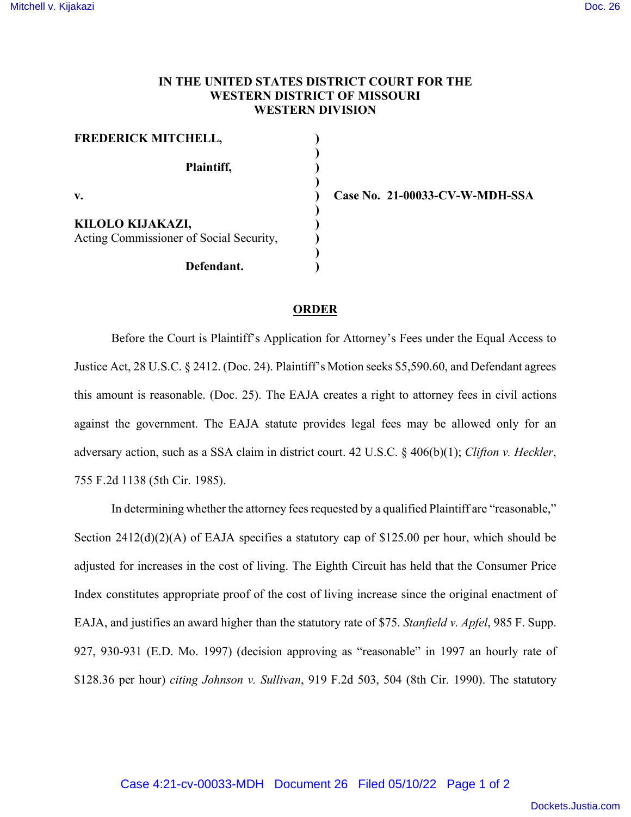## **IN THE UNITED STATES DISTRICT COURT FOR THE WESTERN DISTRICT OF MISSOURI WESTERN DIVISION**

| <b>FREDERICK MITCHELL,</b>                                  |  |
|-------------------------------------------------------------|--|
| Plaintiff,                                                  |  |
| V.                                                          |  |
| KILOLO KIJAKAZI,<br>Acting Commissioner of Social Security, |  |
| Defendant.                                                  |  |

**v. ) Case No. 21-00033-CV-W-MDH-SSA**

## **ORDER**

Before the Court is Plaintiff's Application for Attorney's Fees under the Equal Access to Justice Act, 28 U.S.C. § 2412. (Doc. 24). Plaintiff's Motion seeks \$5,590.60, and Defendant agrees this amount is reasonable. (Doc. 25). The EAJA creates a right to attorney fees in civil actions against the government. The EAJA statute provides legal fees may be allowed only for an adversary action, such as a SSA claim in district court. 42 U.S.C. § 406(b)(1); *Clifton v. Heckler*, 755 F.2d 1138 (5th Cir. 1985).

In determining whether the attorney fees requested by a qualified Plaintiff are "reasonable," Section 2412(d)(2)(A) of EAJA specifies a statutory cap of \$125.00 per hour, which should be adjusted for increases in the cost of living. The Eighth Circuit has held that the Consumer Price Index constitutes appropriate proof of the cost of living increase since the original enactment of EAJA, and justifies an award higher than the statutory rate of \$75. *Stanfield v. Apfel*, 985 F. Supp. 927, 930-931 (E.D. Mo. 1997) (decision approving as "reasonable" in 1997 an hourly rate of \$128.36 per hour) *citing Johnson v. Sullivan*, 919 F.2d 503, 504 (8th Cir. 1990). The statutory